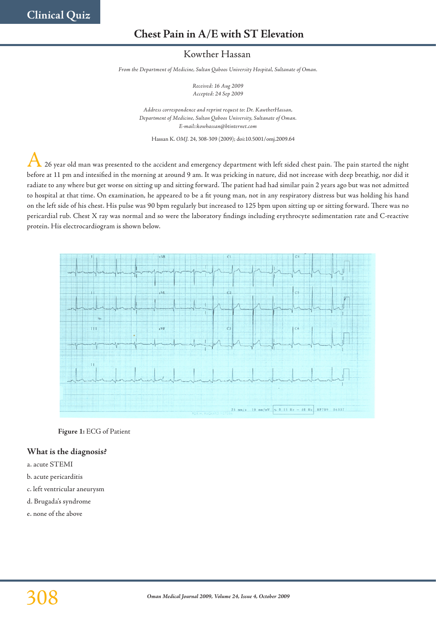# **Chest Pain in A/E with ST Elevation**

# Kowther Hassan

*From the Department of Medicine, Sultan Qaboos University Hospital, Sultanate of Oman.*

*Received: 16 Aug 2009 Accepted: 24 Sep 2009*

*Address correspondence and reprint request to: Dr. KawtherHassan, Department of Medicine, Sultan Qaboos University, Sultanate of Oman. E-mail::kowhassan@btinternet.com*

Hassan K. *OMJ.* 24, 308-309 (2009); doi:10.5001/omj.2009.64

A 26 year old man was presented to the accident and emergency department with left sided chest pain. The pain started the night before at 11 pm and intesified in the morning at around 9 am. It was pricking in nature, did not increase with deep breathig, nor did it radiate to any where but get worse on sitting up and sitting forward. The patient had had similar pain 2 years ago but was not admitted to hospital at that time. On examination, he appeared to be a fit young man, not in any respiratory distress but was holding his hand on the left side of his chest. His pulse was 90 bpm regularly but increased to 125 bpm upon sitting up or sitting forward. There was no pericardial rub. Chest X ray was normal and so were the laboratory findings including erythrocyte sedimentation rate and C-reactive protein. His electrocardiogram is shown below.



**Figure 1:** ECG of Patient

#### **What is the diagnosis?**

- a. acute STEMI
- b. acute pericarditis
- c. left ventricular aneurysm
- d. Brugada's syndrome
- e. none of the above